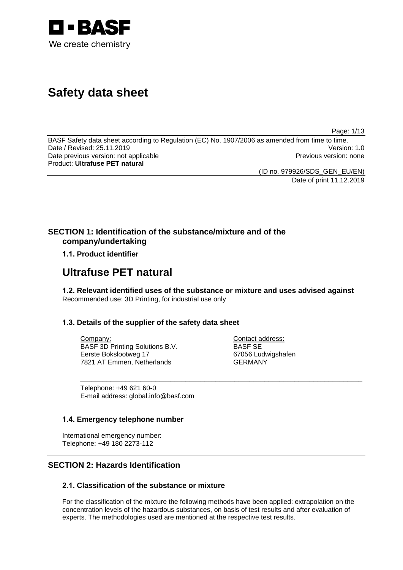

# **Safety data sheet**

Page: 1/13

BASF Safety data sheet according to Regulation (EC) No. 1907/2006 as amended from time to time. Date / Revised: 25.11.2019 Date previous version: not applicable **Previous version: none** Previous version: none Product: **Ultrafuse PET natural**

(ID no. 979926/SDS\_GEN\_EU/EN)

Date of print 11.12.2019

### **SECTION 1: Identification of the substance/mixture and of the company/undertaking**

### **1.1. Product identifier**

## **Ultrafuse PET natural**

**1.2. Relevant identified uses of the substance or mixture and uses advised against** Recommended use: 3D Printing, for industrial use only

\_\_\_\_\_\_\_\_\_\_\_\_\_\_\_\_\_\_\_\_\_\_\_\_\_\_\_\_\_\_\_\_\_\_\_\_\_\_\_\_\_\_\_\_\_\_\_\_\_\_\_\_\_\_\_\_\_\_\_\_\_\_\_\_\_\_\_\_\_\_\_\_\_\_\_

### **1.3. Details of the supplier of the safety data sheet**

Company: BASF 3D Printing Solutions B.V. Eerste Bokslootweg 17 7821 AT Emmen, Netherlands

Contact address: BASF SE 67056 Ludwigshafen GERMANY

Telephone: +49 621 60-0 E-mail address: global.info@basf.com

### **1.4. Emergency telephone number**

International emergency number: Telephone: +49 180 2273-112

### **SECTION 2: Hazards Identification**

### **2.1. Classification of the substance or mixture**

For the classification of the mixture the following methods have been applied: extrapolation on the concentration levels of the hazardous substances, on basis of test results and after evaluation of experts. The methodologies used are mentioned at the respective test results.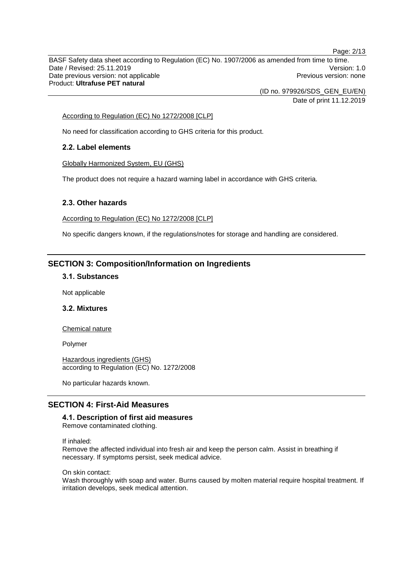BASF Safety data sheet according to Regulation (EC) No. 1907/2006 as amended from time to time. Date / Revised: 25.11.2019 Version: 1.0 Date previous version: not applicable **Previous version: none** Previous version: none Product: **Ultrafuse PET natural**

(ID no. 979926/SDS\_GEN\_EU/EN)

Date of print 11.12.2019

Page: 2/13

### According to Regulation (EC) No 1272/2008 [CLP]

No need for classification according to GHS criteria for this product.

### **2.2. Label elements**

Globally Harmonized System, EU (GHS)

The product does not require a hazard warning label in accordance with GHS criteria.

### **2.3. Other hazards**

According to Regulation (EC) No 1272/2008 [CLP]

No specific dangers known, if the regulations/notes for storage and handling are considered.

### **SECTION 3: Composition/Information on Ingredients**

### **3.1. Substances**

Not applicable

### **3.2. Mixtures**

Chemical nature

Polymer

Hazardous ingredients (GHS) according to Regulation (EC) No. 1272/2008

No particular hazards known.

### **SECTION 4: First-Aid Measures**

### **4.1. Description of first aid measures**

Remove contaminated clothing.

If inhaled:

Remove the affected individual into fresh air and keep the person calm. Assist in breathing if necessary. If symptoms persist, seek medical advice.

On skin contact:

Wash thoroughly with soap and water. Burns caused by molten material require hospital treatment. If irritation develops, seek medical attention.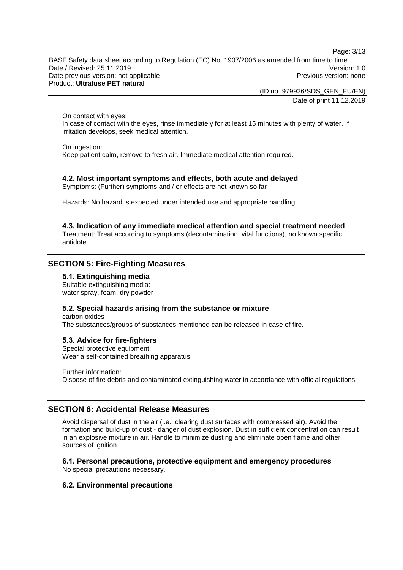Page: 3/13

BASF Safety data sheet according to Regulation (EC) No. 1907/2006 as amended from time to time. Date / Revised: 25.11.2019 Version: 1.0 Date previous version: not applicable **Previous version: none** Previous version: none Product: **Ultrafuse PET natural**

> (ID no. 979926/SDS\_GEN\_EU/EN) Date of print 11.12.2019

On contact with eyes:

In case of contact with the eyes, rinse immediately for at least 15 minutes with plenty of water. If irritation develops, seek medical attention.

On ingestion:

Keep patient calm, remove to fresh air. Immediate medical attention required.

### **4.2. Most important symptoms and effects, both acute and delayed**

Symptoms: (Further) symptoms and / or effects are not known so far

Hazards: No hazard is expected under intended use and appropriate handling.

**4.3. Indication of any immediate medical attention and special treatment needed** Treatment: Treat according to symptoms (decontamination, vital functions), no known specific antidote.

### **SECTION 5: Fire-Fighting Measures**

#### **5.1. Extinguishing media**

Suitable extinguishing media: water spray, foam, dry powder

### **5.2. Special hazards arising from the substance or mixture**

carbon oxides The substances/groups of substances mentioned can be released in case of fire.

#### **5.3. Advice for fire-fighters**

Special protective equipment: Wear a self-contained breathing apparatus.

Further information: Dispose of fire debris and contaminated extinguishing water in accordance with official regulations.

### **SECTION 6: Accidental Release Measures**

Avoid dispersal of dust in the air (i.e., clearing dust surfaces with compressed air). Avoid the formation and build-up of dust - danger of dust explosion. Dust in sufficient concentration can result in an explosive mixture in air. Handle to minimize dusting and eliminate open flame and other sources of ignition.

#### **6.1. Personal precautions, protective equipment and emergency procedures**

No special precautions necessary.

### **6.2. Environmental precautions**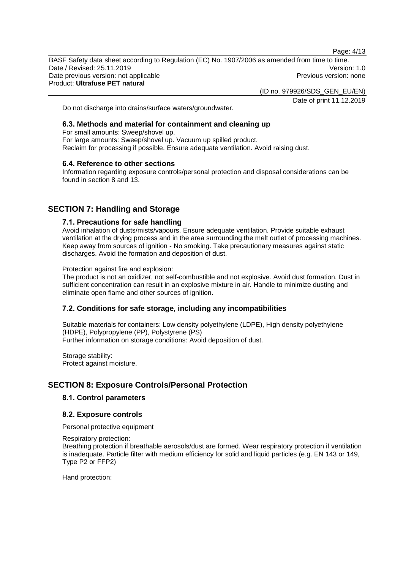Page: 4/13

BASF Safety data sheet according to Regulation (EC) No. 1907/2006 as amended from time to time. Date / Revised: 25.11.2019 Version: 1.0 Date previous version: not applicable **Previous version: none** Previous version: none Product: **Ultrafuse PET natural**

(ID no. 979926/SDS\_GEN\_EU/EN)

Date of print 11.12.2019

Do not discharge into drains/surface waters/groundwater.

### **6.3. Methods and material for containment and cleaning up**

For small amounts: Sweep/shovel up. For large amounts: Sweep/shovel up. Vacuum up spilled product. Reclaim for processing if possible. Ensure adequate ventilation. Avoid raising dust.

### **6.4. Reference to other sections**

Information regarding exposure controls/personal protection and disposal considerations can be found in section 8 and 13.

### **SECTION 7: Handling and Storage**

### **7.1. Precautions for safe handling**

Avoid inhalation of dusts/mists/vapours. Ensure adequate ventilation. Provide suitable exhaust ventilation at the drying process and in the area surrounding the melt outlet of processing machines. Keep away from sources of ignition - No smoking. Take precautionary measures against static discharges. Avoid the formation and deposition of dust.

Protection against fire and explosion:

The product is not an oxidizer, not self-combustible and not explosive. Avoid dust formation. Dust in sufficient concentration can result in an explosive mixture in air. Handle to minimize dusting and eliminate open flame and other sources of ignition.

### **7.2. Conditions for safe storage, including any incompatibilities**

Suitable materials for containers: Low density polyethylene (LDPE), High density polyethylene (HDPE), Polypropylene (PP), Polystyrene (PS) Further information on storage conditions: Avoid deposition of dust.

Storage stability: Protect against moisture.

### **SECTION 8: Exposure Controls/Personal Protection**

### **8.1. Control parameters**

#### **8.2. Exposure controls**

Personal protective equipment

Respiratory protection: Breathing protection if breathable aerosols/dust are formed. Wear respiratory protection if ventilation is inadequate. Particle filter with medium efficiency for solid and liquid particles (e.g. EN 143 or 149, Type P2 or FFP2)

Hand protection: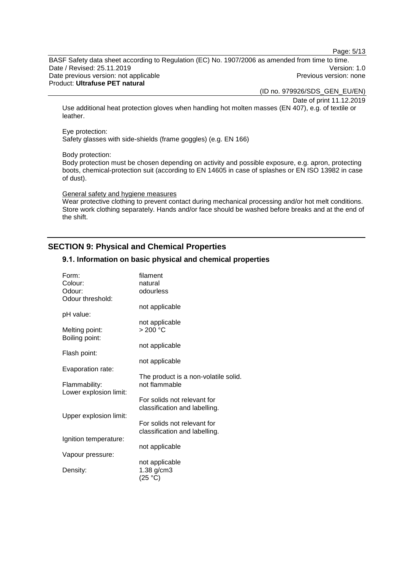Page: 5/13

BASF Safety data sheet according to Regulation (EC) No. 1907/2006 as amended from time to time. Date / Revised: 25.11.2019 Version: 1.0 Date previous version: not applicable **Previous version: none** Previous version: none Product: **Ultrafuse PET natural**

(ID no. 979926/SDS\_GEN\_EU/EN)

Date of print 11.12.2019

Use additional heat protection gloves when handling hot molten masses (EN 407), e.g. of textile or leather.

#### Eye protection:

Safety glasses with side-shields (frame goggles) (e.g. EN 166)

#### Body protection:

Body protection must be chosen depending on activity and possible exposure, e.g. apron, protecting boots, chemical-protection suit (according to EN 14605 in case of splashes or EN ISO 13982 in case of dust).

#### General safety and hygiene measures

Wear protective clothing to prevent contact during mechanical processing and/or hot melt conditions. Store work clothing separately. Hands and/or face should be washed before breaks and at the end of the shift.

### **SECTION 9: Physical and Chemical Properties**

### **9.1. Information on basic physical and chemical properties**

| Form:                  | filament                                              |
|------------------------|-------------------------------------------------------|
| Colour:                | natural                                               |
| Odour:                 | odourless                                             |
| Odour threshold:       |                                                       |
|                        | not applicable                                        |
| pH value:              |                                                       |
|                        | not applicable                                        |
| Melting point:         | $>200$ °C                                             |
| Boiling point:         |                                                       |
|                        | not applicable                                        |
| Flash point:           |                                                       |
|                        | not applicable                                        |
|                        |                                                       |
| Evaporation rate:      |                                                       |
|                        | The product is a non-volatile solid.<br>not flammable |
| Flammability:          |                                                       |
| Lower explosion limit: |                                                       |
|                        | For solids not relevant for                           |
|                        | classification and labelling.                         |
| Upper explosion limit: |                                                       |
|                        | For solids not relevant for                           |
|                        | classification and labelling.                         |
| Ignition temperature:  |                                                       |
|                        | not applicable                                        |
| Vapour pressure:       |                                                       |
|                        | not applicable                                        |
| Density:               | $1.38$ g/cm $3$                                       |
|                        | (25 °C)                                               |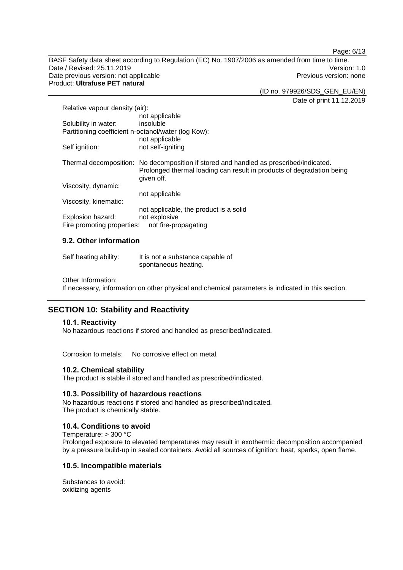Page: 6/13

BASF Safety data sheet according to Regulation (EC) No. 1907/2006 as amended from time to time. Date / Revised: 25.11.2019 Version: 1.0 Date previous version: not applicable **Previous version: none** Previous version: none Product: **Ultrafuse PET natural**

(ID no. 979926/SDS\_GEN\_EU/EN)

Date of print 11.12.2019

| Relative vapour density (air):                      |                                                                                                                                                                               |
|-----------------------------------------------------|-------------------------------------------------------------------------------------------------------------------------------------------------------------------------------|
|                                                     | not applicable                                                                                                                                                                |
| Solubility in water:                                | insoluble                                                                                                                                                                     |
| Partitioning coefficient n-octanol/water (log Kow): |                                                                                                                                                                               |
|                                                     | not applicable                                                                                                                                                                |
| Self ignition:                                      | not self-igniting                                                                                                                                                             |
|                                                     | Thermal decomposition: No decomposition if stored and handled as prescribed/indicated.<br>Prolonged thermal loading can result in products of degradation being<br>given off. |
| Viscosity, dynamic:                                 |                                                                                                                                                                               |
|                                                     | not applicable                                                                                                                                                                |
| Viscosity, kinematic:                               |                                                                                                                                                                               |
|                                                     | not applicable, the product is a solid                                                                                                                                        |
| Explosion hazard:                                   | not explosive                                                                                                                                                                 |
| Fire promoting properties:                          | not fire-propagating                                                                                                                                                          |

### **9.2. Other information**

| Self heating ability: | It is not a substance capable of |
|-----------------------|----------------------------------|
|                       | spontaneous heating.             |

Other Information:

If necessary, information on other physical and chemical parameters is indicated in this section.

### **SECTION 10: Stability and Reactivity**

### **10.1. Reactivity**

No hazardous reactions if stored and handled as prescribed/indicated.

Corrosion to metals: No corrosive effect on metal.

#### **10.2. Chemical stability**

The product is stable if stored and handled as prescribed/indicated.

#### **10.3. Possibility of hazardous reactions**

No hazardous reactions if stored and handled as prescribed/indicated. The product is chemically stable.

### **10.4. Conditions to avoid**

Temperature: > 300 °C Prolonged exposure to elevated temperatures may result in exothermic decomposition accompanied by a pressure build-up in sealed containers. Avoid all sources of ignition: heat, sparks, open flame.

### **10.5. Incompatible materials**

Substances to avoid: oxidizing agents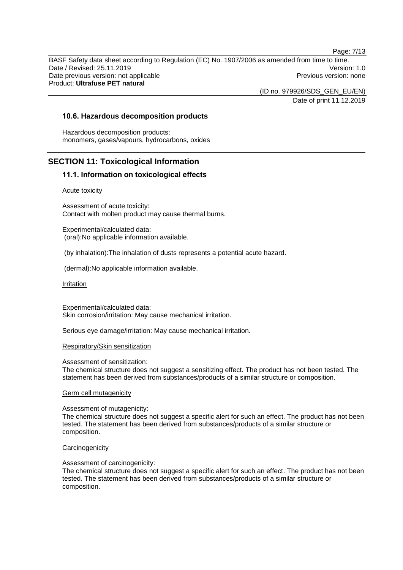Page: 7/13 BASF Safety data sheet according to Regulation (EC) No. 1907/2006 as amended from time to time. Date / Revised: 25.11.2019 Version: 1.0 Date previous version: not applicable **Previous version: none** Previous version: none Product: **Ultrafuse PET natural**

(ID no. 979926/SDS\_GEN\_EU/EN)

Date of print 11.12.2019

### **10.6. Hazardous decomposition products**

Hazardous decomposition products: monomers, gases/vapours, hydrocarbons, oxides

### **SECTION 11: Toxicological Information**

### **11.1. Information on toxicological effects**

#### Acute toxicity

Assessment of acute toxicity: Contact with molten product may cause thermal burns.

Experimental/calculated data: (oral):No applicable information available.

(by inhalation):The inhalation of dusts represents a potential acute hazard.

(dermal):No applicable information available.

#### Irritation

Experimental/calculated data: Skin corrosion/irritation: May cause mechanical irritation.

Serious eye damage/irritation: May cause mechanical irritation.

#### Respiratory/Skin sensitization

Assessment of sensitization:

The chemical structure does not suggest a sensitizing effect. The product has not been tested. The statement has been derived from substances/products of a similar structure or composition.

#### Germ cell mutagenicity

#### Assessment of mutagenicity:

The chemical structure does not suggest a specific alert for such an effect. The product has not been tested. The statement has been derived from substances/products of a similar structure or composition.

#### **Carcinogenicity**

#### Assessment of carcinogenicity:

The chemical structure does not suggest a specific alert for such an effect. The product has not been tested. The statement has been derived from substances/products of a similar structure or composition.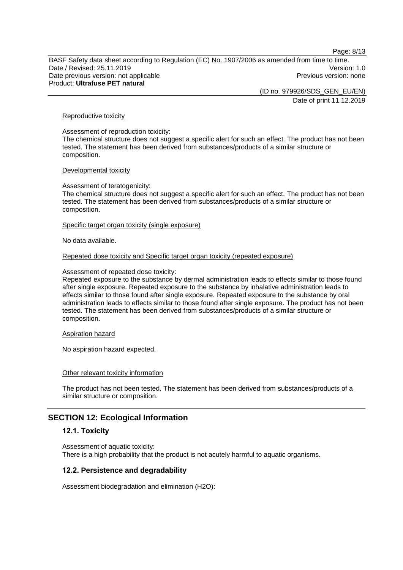Page: 8/13

BASF Safety data sheet according to Regulation (EC) No. 1907/2006 as amended from time to time. Date / Revised: 25.11.2019 Version: 1.0 Date previous version: not applicable **Previous version: none** Previous version: none Product: **Ultrafuse PET natural**

> (ID no. 979926/SDS\_GEN\_EU/EN) Date of print 11.12.2019

Reproductive toxicity

Assessment of reproduction toxicity: The chemical structure does not suggest a specific alert for such an effect. The product has not been tested. The statement has been derived from substances/products of a similar structure or composition.

#### Developmental toxicity

Assessment of teratogenicity:

The chemical structure does not suggest a specific alert for such an effect. The product has not been tested. The statement has been derived from substances/products of a similar structure or composition.

Specific target organ toxicity (single exposure)

No data available.

Repeated dose toxicity and Specific target organ toxicity (repeated exposure)

Assessment of repeated dose toxicity:

Repeated exposure to the substance by dermal administration leads to effects similar to those found after single exposure. Repeated exposure to the substance by inhalative administration leads to effects similar to those found after single exposure. Repeated exposure to the substance by oral administration leads to effects similar to those found after single exposure. The product has not been tested. The statement has been derived from substances/products of a similar structure or composition.

Aspiration hazard

No aspiration hazard expected.

Other relevant toxicity information

The product has not been tested. The statement has been derived from substances/products of a similar structure or composition.

### **SECTION 12: Ecological Information**

#### **12.1. Toxicity**

Assessment of aquatic toxicity: There is a high probability that the product is not acutely harmful to aquatic organisms.

### **12.2. Persistence and degradability**

Assessment biodegradation and elimination (H2O):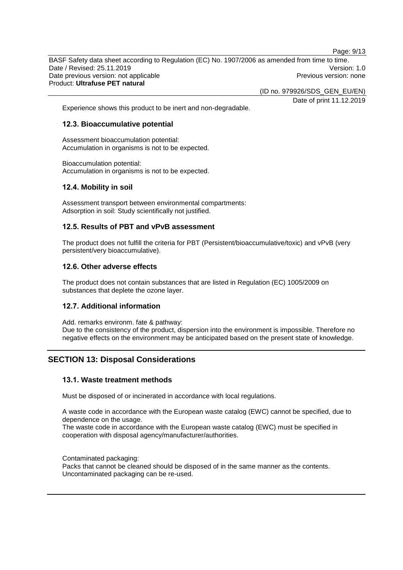BASF Safety data sheet according to Regulation (EC) No. 1907/2006 as amended from time to time. Date / Revised: 25.11.2019 Version: 1.0 Date previous version: not applicable **Previous version: none** Previous version: none Product: **Ultrafuse PET natural**

(ID no. 979926/SDS\_GEN\_EU/EN)

Date of print 11.12.2019

Page: 9/13

Experience shows this product to be inert and non-degradable.

### **12.3. Bioaccumulative potential**

Assessment bioaccumulation potential: Accumulation in organisms is not to be expected.

Bioaccumulation potential: Accumulation in organisms is not to be expected.

### **12.4. Mobility in soil**

Assessment transport between environmental compartments: Adsorption in soil: Study scientifically not justified.

### **12.5. Results of PBT and vPvB assessment**

The product does not fulfill the criteria for PBT (Persistent/bioaccumulative/toxic) and vPvB (very persistent/very bioaccumulative).

### **12.6. Other adverse effects**

The product does not contain substances that are listed in Regulation (EC) 1005/2009 on substances that deplete the ozone layer.

#### **12.7. Additional information**

Add. remarks environm. fate & pathway: Due to the consistency of the product, dispersion into the environment is impossible. Therefore no negative effects on the environment may be anticipated based on the present state of knowledge.

### **SECTION 13: Disposal Considerations**

#### **13.1. Waste treatment methods**

Must be disposed of or incinerated in accordance with local regulations.

A waste code in accordance with the European waste catalog (EWC) cannot be specified, due to dependence on the usage.

The waste code in accordance with the European waste catalog (EWC) must be specified in cooperation with disposal agency/manufacturer/authorities.

Contaminated packaging:

Packs that cannot be cleaned should be disposed of in the same manner as the contents. Uncontaminated packaging can be re-used.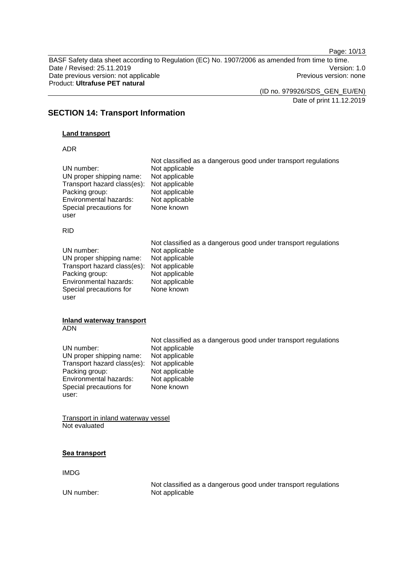Page: 10/13

BASF Safety data sheet according to Regulation (EC) No. 1907/2006 as amended from time to time. Date / Revised: 25.11.2019<br>
Date previous version: not applicable<br>
Date previous version: not applicable<br>
Date previous version: none Date previous version: not applicable Product: **Ultrafuse PET natural**

(ID no. 979926/SDS\_GEN\_EU/EN)

Date of print 11.12.2019

### **SECTION 14: Transport Information**

### **Land transport**

### ADR

| UN number:<br>UN proper shipping name:<br>Transport hazard class(es):<br>Packing group:<br>Environmental hazards:<br>Special precautions for<br>user | Not classified as a dangerous good under transport regulations<br>Not applicable<br>Not applicable<br>Not applicable<br>Not applicable<br>Not applicable<br>None known |
|------------------------------------------------------------------------------------------------------------------------------------------------------|------------------------------------------------------------------------------------------------------------------------------------------------------------------------|
| <b>RID</b>                                                                                                                                           |                                                                                                                                                                        |
| UN number:<br>UN proper shipping name:<br>Transport hazard class(es):<br>Packing group:<br>Environmental hazards:<br>Special precautions for<br>user | Not classified as a dangerous good under transport regulations<br>Not applicable<br>Not applicable<br>Not applicable<br>Not applicable<br>Not applicable<br>None known |
| <b>Inland waterway transport</b><br><b>ADN</b>                                                                                                       |                                                                                                                                                                        |
| UN number:<br>UN proper shipping name:<br>Transport hazard class(es):<br>Packing group:<br>Environmental hazards:<br>Special precautions for         | Not classified as a dangerous good under transport regulations<br>Not applicable<br>Not applicable<br>Not applicable<br>Not applicable<br>Not applicable<br>None known |
| user:                                                                                                                                                |                                                                                                                                                                        |

### **Sea transport**

IMDG

Not classified as a dangerous good under transport regulations UN number: Not applicable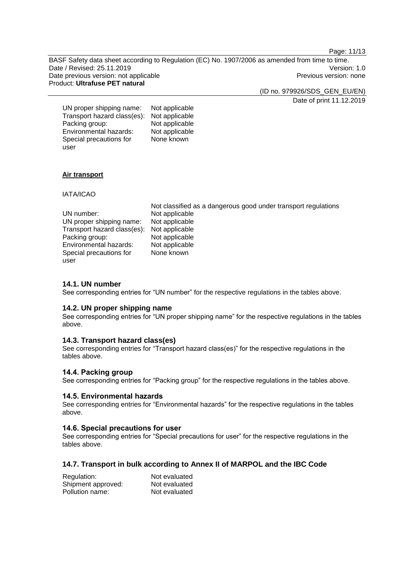Page: 11/13

BASF Safety data sheet according to Regulation (EC) No. 1907/2006 as amended from time to time. Date / Revised: 25.11.2019 Version: 1.0 Date previous version: not applicable **Previous version: none** Previous version: none Product: **Ultrafuse PET natural**

(ID no. 979926/SDS\_GEN\_EU/EN)

Date of print 11.12.2019

| UN proper shipping name:    | Not applicable |
|-----------------------------|----------------|
| Transport hazard class(es): | Not applicable |
| Packing group:              | Not applicable |
| Environmental hazards:      | Not applicable |
| Special precautions for     | None known     |
| user                        |                |

### **Air transport**

IATA/ICAO

|                             | Not classified as a dangerous good under transport regulations |
|-----------------------------|----------------------------------------------------------------|
| UN number:                  | Not applicable                                                 |
| UN proper shipping name:    | Not applicable                                                 |
| Transport hazard class(es): | Not applicable                                                 |
| Packing group:              | Not applicable                                                 |
| Environmental hazards:      | Not applicable                                                 |
| Special precautions for     | None known                                                     |
| user                        |                                                                |

### **14.1. UN number**

See corresponding entries for "UN number" for the respective regulations in the tables above.

### **14.2. UN proper shipping name**

See corresponding entries for "UN proper shipping name" for the respective regulations in the tables above.

### **14.3. Transport hazard class(es)**

See corresponding entries for "Transport hazard class(es)" for the respective regulations in the tables above.

### **14.4. Packing group**

See corresponding entries for "Packing group" for the respective regulations in the tables above.

### **14.5. Environmental hazards**

See corresponding entries for "Environmental hazards" for the respective regulations in the tables above.

#### **14.6. Special precautions for user**

See corresponding entries for "Special precautions for user" for the respective regulations in the tables above.

### **14.7. Transport in bulk according to Annex II of MARPOL and the IBC Code**

| Regulation:        | Not evaluated |
|--------------------|---------------|
| Shipment approved: | Not evaluated |
| Pollution name:    | Not evaluated |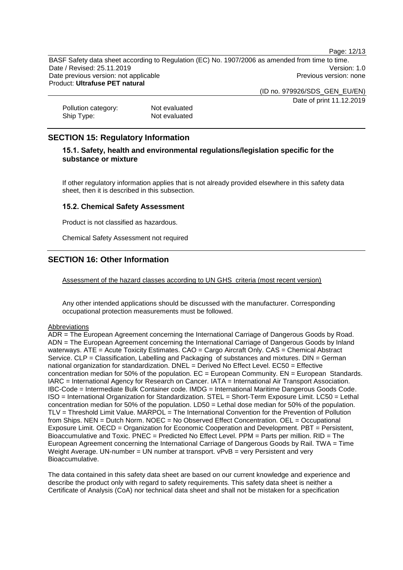Page: 12/13

BASF Safety data sheet according to Regulation (EC) No. 1907/2006 as amended from time to time. Date / Revised: 25.11.2019 Version: 1.0 Date previous version: not applicable **Previous version: none** Previous version: none Product: **Ultrafuse PET natural**

(ID no. 979926/SDS\_GEN\_EU/EN)

Date of print 11.12.2019

Pollution category: Not evaluated<br>
Ship Type: Not evaluated Not evaluated

### **SECTION 15: Regulatory Information**

### **15.1. Safety, health and environmental regulations/legislation specific for the substance or mixture**

If other regulatory information applies that is not already provided elsewhere in this safety data sheet, then it is described in this subsection.

### **15.2. Chemical Safety Assessment**

Product is not classified as hazardous.

Chemical Safety Assessment not required

### **SECTION 16: Other Information**

Assessment of the hazard classes according to UN GHS criteria (most recent version)

Any other intended applications should be discussed with the manufacturer. Corresponding occupational protection measurements must be followed.

#### Abbreviations

ADR = The European Agreement concerning the International Carriage of Dangerous Goods by Road. ADN = The European Agreement concerning the International Carriage of Dangerous Goods by Inland waterways. ATE = Acute Toxicity Estimates. CAO = Cargo Aircraft Only. CAS = Chemical Abstract Service. CLP = Classification, Labelling and Packaging of substances and mixtures. DIN = German national organization for standardization. DNEL = Derived No Effect Level. EC50 = Effective concentration median for 50% of the population.  $EC = European$  Community.  $EN = European$  Standards. IARC = International Agency for Research on Cancer. IATA = International Air Transport Association. IBC-Code = Intermediate Bulk Container code. IMDG = International Maritime Dangerous Goods Code. ISO = International Organization for Standardization. STEL = Short-Term Exposure Limit. LC50 = Lethal concentration median for 50% of the population. LD50 = Lethal dose median for 50% of the population. TLV = Threshold Limit Value. MARPOL = The International Convention for the Prevention of Pollution from Ships. NEN = Dutch Norm. NOEC = No Observed Effect Concentration. OEL = Occupational Exposure Limit. OECD = Organization for Economic Cooperation and Development. PBT = Persistent, Bioaccumulative and Toxic. PNEC = Predicted No Effect Level. PPM = Parts per million. RID = The European Agreement concerning the International Carriage of Dangerous Goods by Rail. TWA = Time Weight Average. UN-number = UN number at transport. vPvB = very Persistent and very Bioaccumulative.

The data contained in this safety data sheet are based on our current knowledge and experience and describe the product only with regard to safety requirements. This safety data sheet is neither a Certificate of Analysis (CoA) nor technical data sheet and shall not be mistaken for a specification